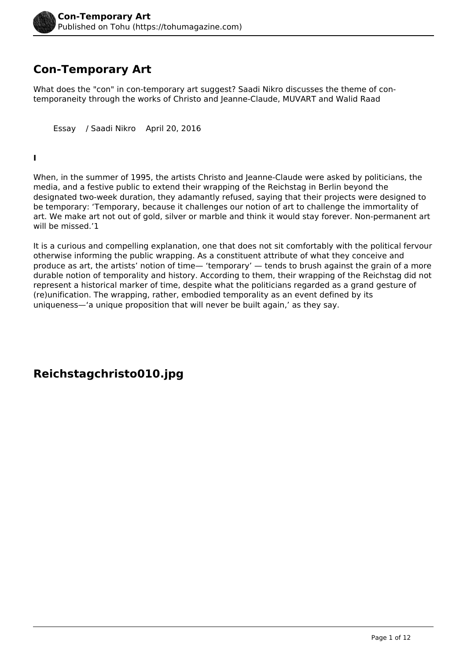

## **Con-Temporary Art**

What does the "con" in con-temporary art suggest? Saadi Nikro discusses the theme of contemporaneity through the works of Christo and Jeanne-Claude, MUVART and Walid Raad

Essay / Saadi Nikro April 20, 2016

#### **I**

When, in the summer of 1995, the artists Christo and Jeanne-Claude were asked by politicians, the media, and a festive public to extend their wrapping of the Reichstag in Berlin beyond the designated two-week duration, they adamantly refused, saying that their projects were designed to be temporary: 'Temporary, because it challenges our notion of art to challenge the immortality of art. We make art not out of gold, silver or marble and think it would stay forever. Non-permanent art will be missed.'1

It is a curious and compelling explanation, one that does not sit comfortably with the political fervour otherwise informing the public wrapping. As a constituent attribute of what they conceive and produce as art, the artists' notion of time— 'temporary' — tends to brush against the grain of a more durable notion of temporality and history. According to them, their wrapping of the Reichstag did not represent a historical marker of time, despite what the politicians regarded as a grand gesture of (re)unification. The wrapping, rather, embodied temporality as an event defined by its uniqueness—'a unique proposition that will never be built again,' as they say.

**Reichstagchristo010.jpg**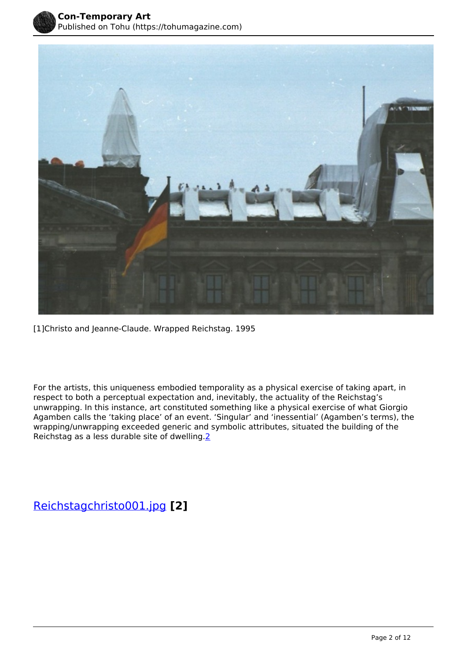



[1]Christo and Jeanne-Claude. Wrapped Reichstag. 1995

 unwrapping. In this instance, art constituted something like a physical exercise of what Giorgio For the artists, this uniqueness embodied temporality as a physical exercise of taking apart, in respect to both a perceptual expectation and, inevitably, the actuality of the Reichstag's Agamben calls the 'taking place' of an event. 'Singular' and 'inessential' (Agamben's terms), the wrapping/unwrapping exceeded generic and symbolic attributes, situated the building of the Reichstag as a less durable site of dwelling.2

[Reichstagchristo001.jpg](https://tohumagazine.com/file/reichstagchristo001jpg) **[2]**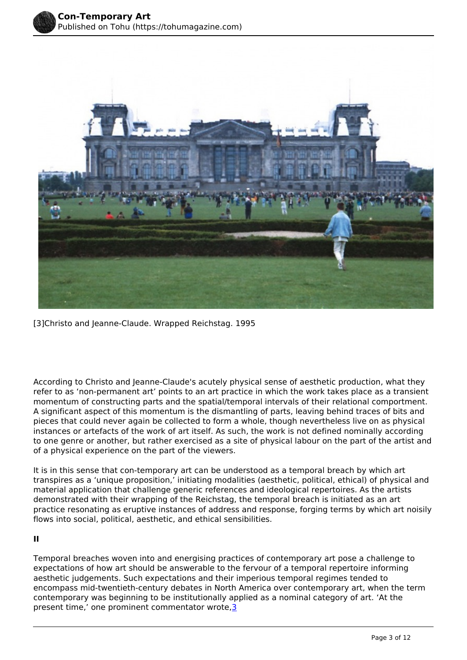

[3]Christo and Jeanne-Claude. Wrapped Reichstag. 1995

 momentum of constructing parts and the spatial/temporal intervals of their relational comportment. According to Christo and Jeanne-Claude's acutely physical sense of aesthetic production, what they refer to as 'non-permanent art' points to an art practice in which the work takes place as a transient A significant aspect of this momentum is the dismantling of parts, leaving behind traces of bits and pieces that could never again be collected to form a whole, though nevertheless live on as physical instances or artefacts of the work of art itself. As such, the work is not defined nominally according to one genre or another, but rather exercised as a site of physical labour on the part of the artist and of a physical experience on the part of the viewers.

It is in this sense that con-temporary art can be understood as a temporal breach by which art transpires as a 'unique proposition,' initiating modalities (aesthetic, political, ethical) of physical and material application that challenge generic references and ideological repertoires. As the artists demonstrated with their wrapping of the Reichstag, the temporal breach is initiated as an art practice resonating as eruptive instances of address and response, forging terms by which art noisily flows into social, political, aesthetic, and ethical sensibilities.

#### **II**

Temporal breaches woven into and energising practices of contemporary art pose a challenge to expectations of how art should be answerable to the fervour of a temporal repertoire informing aesthetic judgements. Such expectations and their imperious temporal regimes tended to encompass mid-twentieth-century debates in North America over contemporary art, when the term contemporary was beginning to be institutionally applied as a nominal category of art. 'At the present time,' one prominent commentator wrote, 3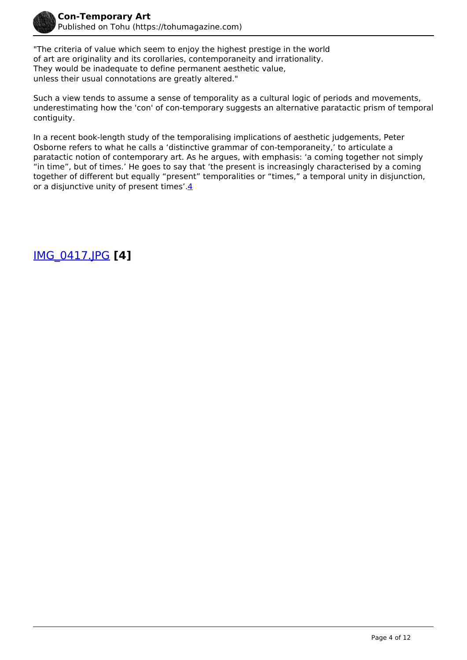

"The criteria of value which seem to enjoy the highest prestige in the world of art are originality and its corollaries, contemporaneity and irrationality. They would be inadequate to define permanent aesthetic value, unless their usual connotations are greatly altered."

Such a view tends to assume a sense of temporality as a cultural logic of periods and movements, underestimating how the 'con' of con-temporary suggests an alternative paratactic prism of temporal contiguity.

In a recent book-length study of the temporalising implications of aesthetic judgements, Peter Osborne refers to what he calls a 'distinctive grammar of con-temporaneity,' to articulate a paratactic notion of contemporary art. As he argues, with emphasis: 'a coming together not simply "in time", but of times.' He goes to say that 'the present is increasingly characterised by a coming together of different but equally "present" temporalities or "times," a temporal unity in disjunction, or a disjunctive unity of present times'.4

[IMG\\_0417.JPG](https://tohumagazine.com/file/img0417jpg) **[4]**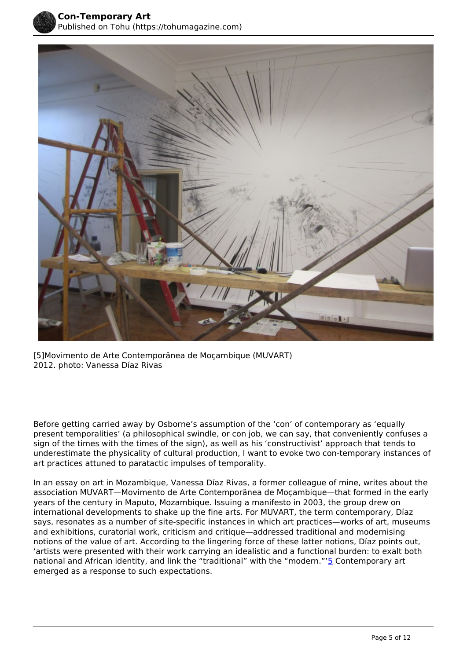



[5]Movimento de Arte Contemporȃnea de Moçambique (MUVART) 2012. photo: Vanessa Díaz Rivas

 sign of the times with the times of the sign), as well as his 'constructivist' approach that tends to Before getting carried away by Osborne's assumption of the 'con' of contemporary as 'equally present temporalities' (a philosophical swindle, or con job, we can say, that conveniently confuses a underestimate the physicality of cultural production, I want to evoke two con-temporary instances of art practices attuned to paratactic impulses of temporality.

In an essay on art in Mozambique, Vanessa Díaz Rivas, a former colleague of mine, writes about the association MUVART—Movimento de Arte Contemporânea de Mocambique—that formed in the early years of the century in Maputo, Mozambique. Issuing a manifesto in 2003, the group drew on international developments to shake up the fine arts. For MUVART, the term contemporary, Díaz says, resonates as a number of site-specific instances in which art practices—works of art, museums and exhibitions, curatorial work, criticism and critique—addressed traditional and modernising notions of the value of art. According to the lingering force of these latter notions, Díaz points out, 'artists were presented with their work carrying an idealistic and a functional burden: to exalt both national and African identity, and link the "traditional" with the "modern."'<sup>5</sup> Contemporary art emerged as a response to such expectations.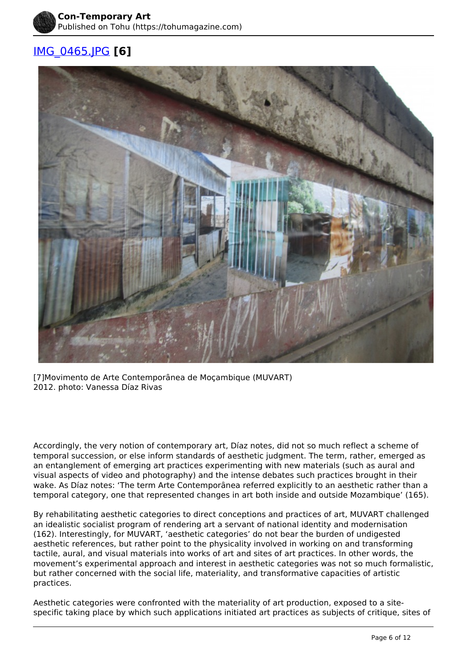

# [IMG\\_0465.JPG](https://tohumagazine.com/file/img0465jpg) **[6]**



[7]Movimento de Arte Contemporȃnea de Moçambique (MUVART) 2012. photo: Vanessa Díaz Rivas

 visual aspects of video and photography) and the intense debates such practices brought in their Accordingly, the very notion of contemporary art, Díaz notes, did not so much reflect a scheme of temporal succession, or else inform standards of aesthetic judgment. The term, rather, emerged as an entanglement of emerging art practices experimenting with new materials (such as aural and wake. As Díaz notes: 'The term Arte Contemporânea referred explicitly to an aesthetic rather than a temporal category, one that represented changes in art both inside and outside Mozambique' (165).

By rehabilitating aesthetic categories to direct conceptions and practices of art, MUVART challenged an idealistic socialist program of rendering art a servant of national identity and modernisation (162). Interestingly, for MUVART, 'aesthetic categories' do not bear the burden of undigested aesthetic references, but rather point to the physicality involved in working on and transforming tactile, aural, and visual materials into works of art and sites of art practices. In other words, the movement's experimental approach and interest in aesthetic categories was not so much formalistic, but rather concerned with the social life, materiality, and transformative capacities of artistic practices.

Aesthetic categories were confronted with the materiality of art production, exposed to a sitespecific taking place by which such applications initiated art practices as subjects of critique, sites of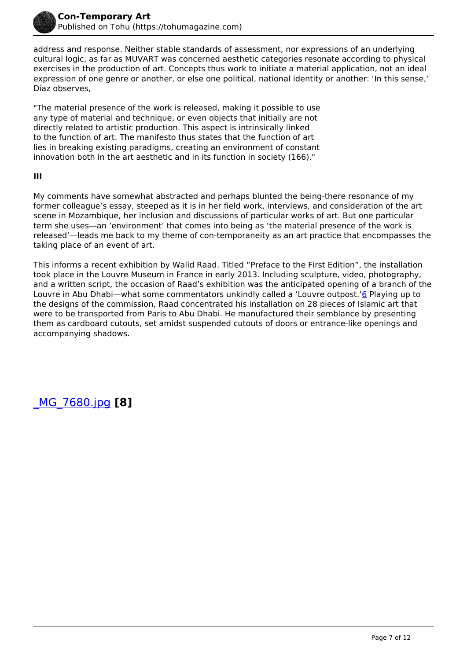

address and response. Neither stable standards of assessment, nor expressions of an underlying cultural logic, as far as MUVART was concerned aesthetic categories resonate according to physical exercises in the production of art. Concepts thus work to initiate a material application, not an ideal expression of one genre or another, or else one political, national identity or another: 'In this sense,' Díaz observes,

"The material presence of the work is released, making it possible to use any type of material and technique, or even objects that initially are not directly related to artistic production. This aspect is intrinsically linked to the function of art. The manifesto thus states that the function of art lies in breaking existing paradigms, creating an environment of constant innovation both in the art aesthetic and in its function in society (166)."

### **III**

My comments have somewhat abstracted and perhaps blunted the being-there resonance of my former colleague's essay, steeped as it is in her field work, interviews, and consideration of the art scene in Mozambique, her inclusion and discussions of particular works of art. But one particular term she uses—an 'environment' that comes into being as 'the material presence of the work is released'—leads me back to my theme of con-temporaneity as an art practice that encompasses the taking place of an event of art.

This informs a recent exhibition by Walid Raad. Titled "Preface to the First Edition", the installation took place in the Louvre Museum in France in early 2013. Including sculpture, video, photography, and a written script, the occasion of Raad's exhibition was the anticipated opening of a branch of the Louvre in Abu Dhabi—what some commentators unkindly called a 'Louvre outpost.'<sup>6</sup> Playing up to the designs of the commission, Raad concentrated his installation on 28 pieces of Islamic art that were to be transported from Paris to Abu Dhabi. He manufactured their semblance by presenting them as cardboard cutouts, set amidst suspended cutouts of doors or entrance-like openings and accompanying shadows.

[\\_MG\\_7680.jpg](https://tohumagazine.com/file/mg7680jpg-0) **[8]**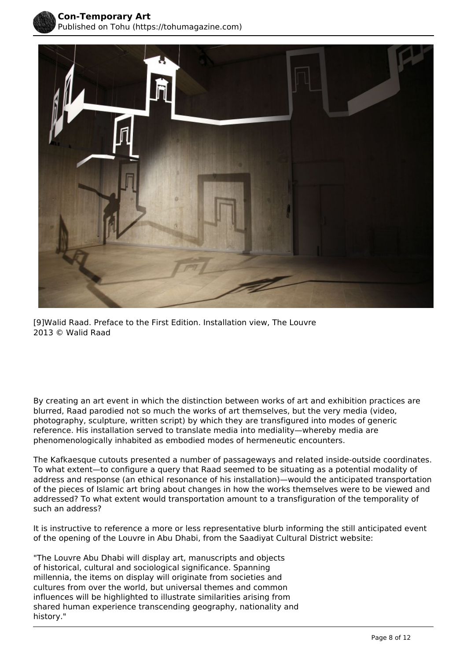



[9]Walid Raad. Preface to the First Edition. Installation view, The Louvre 2013 © Walid Raad

 By creating an art event in which the distinction between works of art and exhibition practices are blurred, Raad parodied not so much the works of art themselves, but the very media (video, photography, sculpture, written script) by which they are transfigured into modes of generic reference. His installation served to translate media into mediality—whereby media are phenomenologically inhabited as embodied modes of hermeneutic encounters.

The Kafkaesque cutouts presented a number of passageways and related inside-outside coordinates. To what extent—to configure a query that Raad seemed to be situating as a potential modality of address and response (an ethical resonance of his installation)—would the anticipated transportation of the pieces of Islamic art bring about changes in how the works themselves were to be viewed and addressed? To what extent would transportation amount to a transfiguration of the temporality of such an address?

It is instructive to reference a more or less representative blurb informing the still anticipated event of the opening of the Louvre in Abu Dhabi, from the Saadiyat Cultural District website:

"The Louvre Abu Dhabi will display art, manuscripts and objects of historical, cultural and sociological significance. Spanning millennia, the items on display will originate from societies and cultures from over the world, but universal themes and common influences will be highlighted to illustrate similarities arising from shared human experience transcending geography, nationality and history."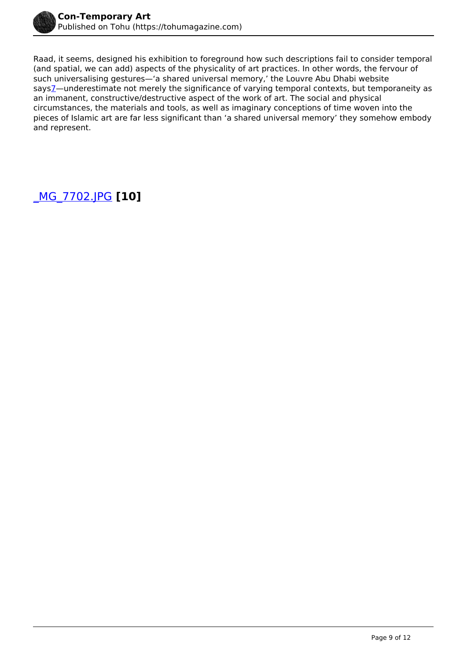

Raad, it seems, designed his exhibition to foreground how such descriptions fail to consider temporal (and spatial, we can add) aspects of the physicality of art practices. In other words, the fervour of such universalising gestures—'a shared universal memory,' the Louvre Abu Dhabi website says<sub>Z</sub>—underestimate not merely the significance of varying temporal contexts, but temporaneity as an immanent, constructive/destructive aspect of the work of art. The social and physical circumstances, the materials and tools, as well as imaginary conceptions of time woven into the pieces of Islamic art are far less significant than 'a shared universal memory' they somehow embody and represent.

[\\_MG\\_7702.JPG](https://tohumagazine.com/file/mg7702jpg) **[10]**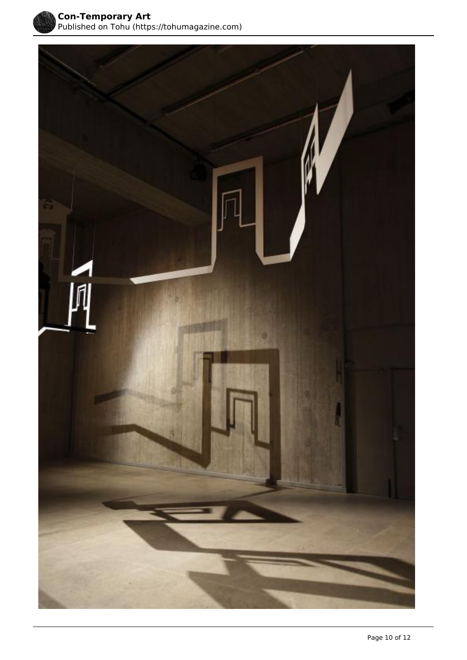

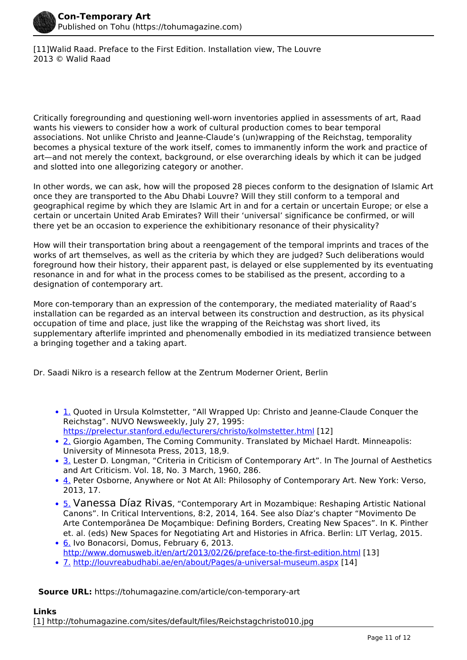

[11]Walid Raad. Preface to the First Edition. Installation view, The Louvre 2013 © Walid Raad

Critically foregrounding and questioning well-worn inventories applied in assessments of art, Raad wants his viewers to consider how a work of cultural production comes to bear temporal associations. Not unlike Christo and Jeanne-Claude's (un)wrapping of the Reichstag, temporality becomes a physical texture of the work itself, comes to immanently inform the work and practice of art—and not merely the context, background, or else overarching ideals by which it can be judged and slotted into one allegorizing category or another.

In other words, we can ask, how will the proposed 28 pieces conform to the designation of Islamic Art once they are transported to the Abu Dhabi Louvre? Will they still conform to a temporal and geographical regime by which they are Islamic Art in and for a certain or uncertain Europe; or else a certain or uncertain United Arab Emirates? Will their 'universal' significance be confirmed, or will there yet be an occasion to experience the exhibitionary resonance of their physicality?

How will their transportation bring about a reengagement of the temporal imprints and traces of the works of art themselves, as well as the criteria by which they are judged? Such deliberations would foreground how their history, their apparent past, is delayed or else supplemented by its eventuating resonance in and for what in the process comes to be stabilised as the present, according to a designation of contemporary art.

More con-temporary than an expression of the contemporary, the mediated materiality of Raad's installation can be regarded as an interval between its construction and destruction, as its physical occupation of time and place, just like the wrapping of the Reichstag was short lived, its supplementary afterlife imprinted and phenomenally embodied in its mediatized transience between a bringing together and a taking apart.

Dr. Saadi Nikro is a research fellow at the Zentrum Moderner Orient, Berlin

- 1. Quoted in Ursula Kolmstetter, "All Wrapped Up: Christo and Jeanne-Claude Conquer the Reichstag". NUVO Newsweekly, July 27, 1995: <https://prelectur.stanford.edu/lecturers/christo/kolmstetter.html> [12]
- 2. Giorgio Agamben, The Coming Community. Translated by Michael Hardt. Minneapolis: University of Minnesota Press, 2013, 18,9.
- 3. Lester D. Longman, "Criteria in Criticism of Contemporary Art". In The Journal of Aesthetics and Art Criticism. Vol. 18, No. 3 March, 1960, 286.
- 4. Peter Osborne, Anywhere or Not At All: Philosophy of Contemporary Art. New York: Verso, 2013, 17.
- 5. Vanessa Díaz Rivas, "Contemporary Art in Mozambique: Reshaping Artistic National Canons". In Critical Interventions, 8:2, 2014, 164. See also Díaz's chapter "Movimento De Arte Contemporȃnea De Moçambique: Defining Borders, Creating New Spaces". In K. Pinther et. al. (eds) New Spaces for Negotiating Art and Histories in Africa. Berlin: LIT Verlag, 2015.
- 6. Ivo Bonacorsi, Domus, February 6, 2013. <http://www.domusweb.it/en/art/2013/02/26/preface-to-the-first-edition.html> [13]
- 7. <http://louvreabudhabi.ae/en/about/Pages/a-universal-museum.aspx> [14]

**Source URL:** https://tohumagazine.com/article/con-temporary-art

**Links**

[1] http://tohumagazine.com/sites/default/files/Reichstagchristo010.jpg